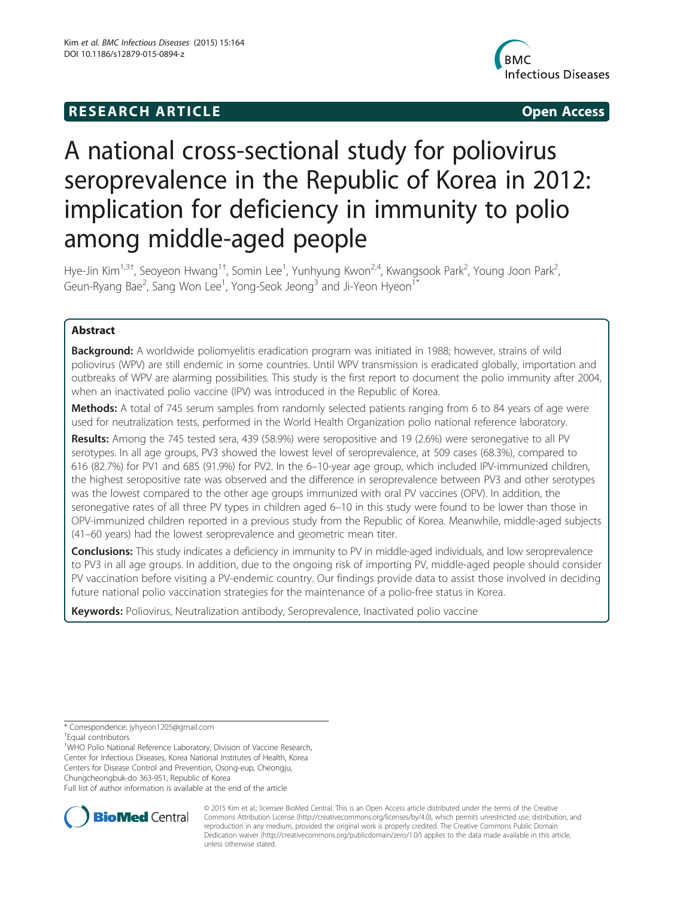# **RESEARCH ARTICLE Example 2014 CONSIDERING CONSIDERING CONSIDERING CONSIDERING CONSIDERING CONSIDERING CONSIDERING CONSIDERING CONSIDERING CONSIDERING CONSIDERING CONSIDERING CONSIDERING CONSIDERING CONSIDERING CONSIDE**



# A national cross-sectional study for poliovirus seroprevalence in the Republic of Korea in 2012: implication for deficiency in immunity to polio among middle-aged people

Hye-Jin Kim<sup>1,3†</sup>, Seoyeon Hwang<sup>1†</sup>, Somin Lee<sup>1</sup>, Yunhyung Kwon<sup>2,4</sup>, Kwangsook Park<sup>2</sup>, Young Joon Park<sup>2</sup> , Geun-Ryang Bae<sup>2</sup>, Sang Won Lee<sup>1</sup>, Yong-Seok Jeong<sup>3</sup> and Ji-Yeon Hyeon<sup>1\*</sup>

# Abstract

Background: A worldwide poliomyelitis eradication program was initiated in 1988; however, strains of wild poliovirus (WPV) are still endemic in some countries. Until WPV transmission is eradicated globally, importation and outbreaks of WPV are alarming possibilities. This study is the first report to document the polio immunity after 2004, when an inactivated polio vaccine (IPV) was introduced in the Republic of Korea.

Methods: A total of 745 serum samples from randomly selected patients ranging from 6 to 84 years of age were used for neutralization tests, performed in the World Health Organization polio national reference laboratory.

Results: Among the 745 tested sera, 439 (58.9%) were seropositive and 19 (2.6%) were seronegative to all PV serotypes. In all age groups, PV3 showed the lowest level of seroprevalence, at 509 cases (68.3%), compared to 616 (82.7%) for PV1 and 685 (91.9%) for PV2. In the 6–10-year age group, which included IPV-immunized children, the highest seropositive rate was observed and the difference in seroprevalence between PV3 and other serotypes was the lowest compared to the other age groups immunized with oral PV vaccines (OPV). In addition, the seronegative rates of all three PV types in children aged 6–10 in this study were found to be lower than those in OPV-immunized children reported in a previous study from the Republic of Korea. Meanwhile, middle-aged subjects (41–60 years) had the lowest seroprevalence and geometric mean titer.

**Conclusions:** This study indicates a deficiency in immunity to PV in middle-aged individuals, and low seroprevalence to PV3 in all age groups. In addition, due to the ongoing risk of importing PV, middle-aged people should consider PV vaccination before visiting a PV-endemic country. Our findings provide data to assist those involved in deciding future national polio vaccination strategies for the maintenance of a polio-free status in Korea.

Keywords: Poliovirus, Neutralization antibody, Seroprevalence, Inactivated polio vaccine

\* Correspondence: [jyhyeon1205@gmail.com](mailto:jyhyeon1205@gmail.com) †

Equal contributors

<sup>1</sup>WHO Polio National Reference Laboratory, Division of Vaccine Research, Center for Infectious Diseases, Korea National Institutes of Health, Korea Centers for Disease Control and Prevention, Osong-eup, Cheongju, Chungcheongbuk-do 363-951, Republic of Korea

Full list of author information is available at the end of the article



© 2015 Kim et al.; licensee BioMed Central. This is an Open Access article distributed under the terms of the Creative Commons Attribution License [\(http://creativecommons.org/licenses/by/4.0\)](http://creativecommons.org/licenses/by/4.0), which permits unrestricted use, distribution, and reproduction in any medium, provided the original work is properly credited. The Creative Commons Public Domain Dedication waiver [\(http://creativecommons.org/publicdomain/zero/1.0/](http://creativecommons.org/publicdomain/zero/1.0/)) applies to the data made available in this article, unless otherwise stated.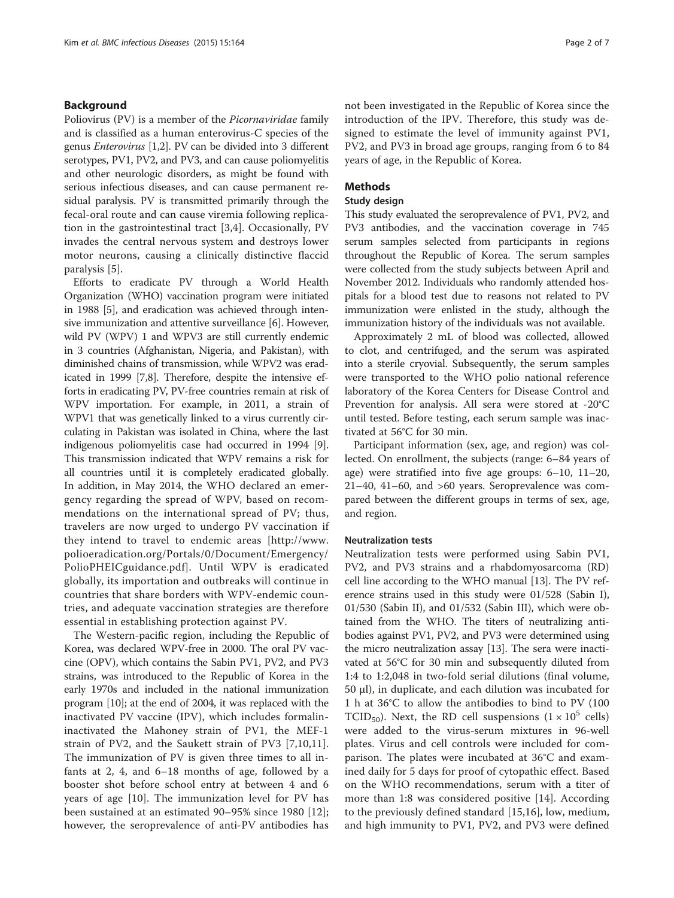#### Background

Poliovirus (PV) is a member of the Picornaviridae family and is classified as a human enterovirus-C species of the genus Enterovirus [\[1,2](#page-6-0)]. PV can be divided into 3 different serotypes, PV1, PV2, and PV3, and can cause poliomyelitis and other neurologic disorders, as might be found with serious infectious diseases, and can cause permanent residual paralysis. PV is transmitted primarily through the fecal-oral route and can cause viremia following replication in the gastrointestinal tract [\[3](#page-6-0),[4\]](#page-6-0). Occasionally, PV invades the central nervous system and destroys lower motor neurons, causing a clinically distinctive flaccid paralysis [\[5](#page-6-0)].

Efforts to eradicate PV through a World Health Organization (WHO) vaccination program were initiated in 1988 [\[5](#page-6-0)], and eradication was achieved through intensive immunization and attentive surveillance [\[6](#page-6-0)]. However, wild PV (WPV) 1 and WPV3 are still currently endemic in 3 countries (Afghanistan, Nigeria, and Pakistan), with diminished chains of transmission, while WPV2 was eradicated in 1999 [[7,8](#page-6-0)]. Therefore, despite the intensive efforts in eradicating PV, PV-free countries remain at risk of WPV importation. For example, in 2011, a strain of WPV1 that was genetically linked to a virus currently circulating in Pakistan was isolated in China, where the last indigenous poliomyelitis case had occurred in 1994 [[9](#page-6-0)]. This transmission indicated that WPV remains a risk for all countries until it is completely eradicated globally. In addition, in May 2014, the WHO declared an emergency regarding the spread of WPV, based on recommendations on the international spread of PV; thus, travelers are now urged to undergo PV vaccination if they intend to travel to endemic areas [[http://www.](http://www.polioeradication.org/Portals/0/Document/Emergency/PolioPHEICguidance.pdf) [polioeradication.org/Portals/0/Document/Emergency/](http://www.polioeradication.org/Portals/0/Document/Emergency/PolioPHEICguidance.pdf) [PolioPHEICguidance.pdf\]](http://www.polioeradication.org/Portals/0/Document/Emergency/PolioPHEICguidance.pdf). Until WPV is eradicated globally, its importation and outbreaks will continue in countries that share borders with WPV-endemic countries, and adequate vaccination strategies are therefore essential in establishing protection against PV.

The Western-pacific region, including the Republic of Korea, was declared WPV-free in 2000. The oral PV vaccine (OPV), which contains the Sabin PV1, PV2, and PV3 strains, was introduced to the Republic of Korea in the early 1970s and included in the national immunization program [\[10\]](#page-6-0); at the end of 2004, it was replaced with the inactivated PV vaccine (IPV), which includes formalininactivated the Mahoney strain of PV1, the MEF-1 strain of PV2, and the Saukett strain of PV3 [[7,10,11](#page-6-0)]. The immunization of PV is given three times to all infants at 2, 4, and 6–18 months of age, followed by a booster shot before school entry at between 4 and 6 years of age [\[10](#page-6-0)]. The immunization level for PV has been sustained at an estimated 90–95% since 1980 [\[12](#page-6-0)]; however, the seroprevalence of anti-PV antibodies has

not been investigated in the Republic of Korea since the introduction of the IPV. Therefore, this study was designed to estimate the level of immunity against PV1, PV2, and PV3 in broad age groups, ranging from 6 to 84 years of age, in the Republic of Korea.

#### Methods

#### Study design

This study evaluated the seroprevalence of PV1, PV2, and PV3 antibodies, and the vaccination coverage in 745 serum samples selected from participants in regions throughout the Republic of Korea. The serum samples were collected from the study subjects between April and November 2012. Individuals who randomly attended hospitals for a blood test due to reasons not related to PV immunization were enlisted in the study, although the immunization history of the individuals was not available.

Approximately 2 mL of blood was collected, allowed to clot, and centrifuged, and the serum was aspirated into a sterile cryovial. Subsequently, the serum samples were transported to the WHO polio national reference laboratory of the Korea Centers for Disease Control and Prevention for analysis. All sera were stored at -20°C until tested. Before testing, each serum sample was inactivated at 56°C for 30 min.

Participant information (sex, age, and region) was collected. On enrollment, the subjects (range: 6–84 years of age) were stratified into five age groups: 6–10, 11–20, 21–40, 41–60, and >60 years. Seroprevalence was compared between the different groups in terms of sex, age, and region.

# Neutralization tests

Neutralization tests were performed using Sabin PV1, PV2, and PV3 strains and a rhabdomyosarcoma (RD) cell line according to the WHO manual [\[13\]](#page-6-0). The PV reference strains used in this study were 01/528 (Sabin I), 01/530 (Sabin II), and 01/532 (Sabin III), which were obtained from the WHO. The titers of neutralizing antibodies against PV1, PV2, and PV3 were determined using the micro neutralization assay [[13](#page-6-0)]. The sera were inactivated at 56°C for 30 min and subsequently diluted from 1:4 to 1:2,048 in two-fold serial dilutions (final volume, 50 μl), in duplicate, and each dilution was incubated for 1 h at 36°C to allow the antibodies to bind to PV (100 TCID<sub>50</sub>). Next, the RD cell suspensions  $(1 \times 10^5 \text{ cells})$ were added to the virus-serum mixtures in 96-well plates. Virus and cell controls were included for comparison. The plates were incubated at 36°C and examined daily for 5 days for proof of cytopathic effect. Based on the WHO recommendations, serum with a titer of more than 1:8 was considered positive [\[14](#page-6-0)]. According to the previously defined standard [[15,16](#page-6-0)], low, medium, and high immunity to PV1, PV2, and PV3 were defined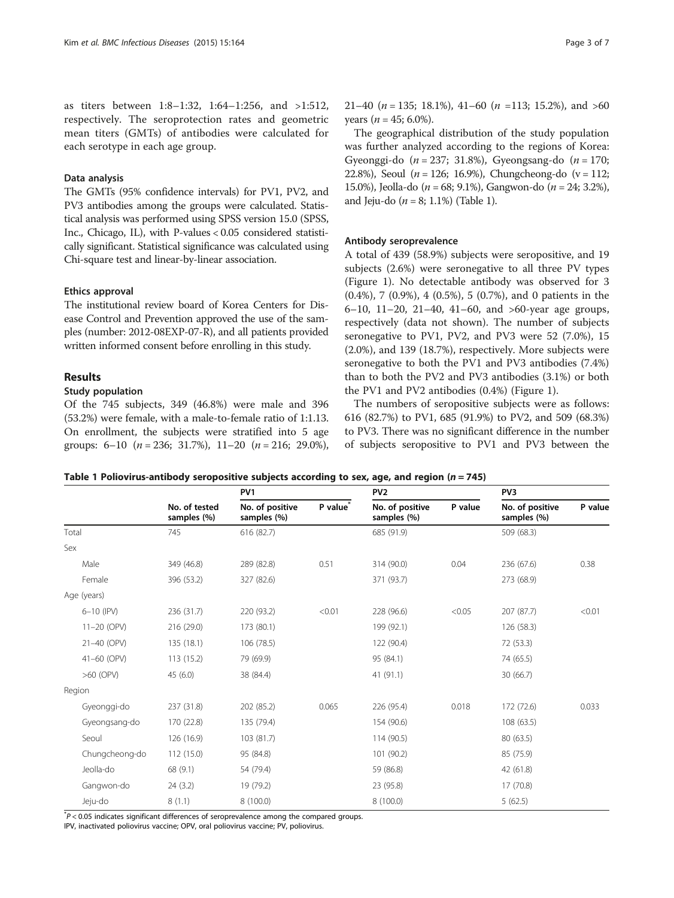<span id="page-2-0"></span>as titers between 1:8–1:32, 1:64–1:256, and >1:512, respectively. The seroprotection rates and geometric mean titers (GMTs) of antibodies were calculated for each serotype in each age group.

# Data analysis

The GMTs (95% confidence intervals) for PV1, PV2, and PV3 antibodies among the groups were calculated. Statistical analysis was performed using SPSS version 15.0 (SPSS, Inc., Chicago, IL), with P-values < 0.05 considered statistically significant. Statistical significance was calculated using Chi-square test and linear-by-linear association.

#### Ethics approval

The institutional review board of Korea Centers for Disease Control and Prevention approved the use of the samples (number: 2012-08EXP-07-R), and all patients provided written informed consent before enrolling in this study.

# Results

### Study population

Of the 745 subjects, 349 (46.8%) were male and 396 (53.2%) were female, with a male-to-female ratio of 1:1.13. On enrollment, the subjects were stratified into 5 age groups:  $6-10$   $(n = 236; 31.7\%)$ ,  $11-20$   $(n = 216; 29.0\%)$ , 21–40 ( $n = 135$ ; 18.1%), 41–60 ( $n = 113$ ; 15.2%), and >60 years ( $n = 45$ ; 6.0%).

The geographical distribution of the study population was further analyzed according to the regions of Korea: Gyeonggi-do  $(n = 237; 31.8\%)$ , Gyeongsang-do  $(n = 170;$ 22.8%), Seoul ( $n = 126$ ; 16.9%), Chungcheong-do ( $v = 112$ ; 15.0%), Jeolla-do ( $n = 68$ ; 9.1%), Gangwon-do ( $n = 24$ ; 3.2%), and Jeju-do ( $n = 8$ ; 1.1%) (Table 1).

#### Antibody seroprevalence

A total of 439 (58.9%) subjects were seropositive, and 19 subjects (2.6%) were seronegative to all three PV types (Figure [1](#page-3-0)). No detectable antibody was observed for 3 (0.4%), 7 (0.9%), 4 (0.5%), 5 (0.7%), and 0 patients in the 6–10, 11–20, 21–40, 41–60, and >60-year age groups, respectively (data not shown). The number of subjects seronegative to PV1, PV2, and PV3 were 52 (7.0%), 15 (2.0%), and 139 (18.7%), respectively. More subjects were seronegative to both the PV1 and PV3 antibodies (7.4%) than to both the PV2 and PV3 antibodies (3.1%) or both the PV1 and PV2 antibodies (0.4%) (Figure [1\)](#page-3-0).

The numbers of seropositive subjects were as follows: 616 (82.7%) to PV1, 685 (91.9%) to PV2, and 509 (68.3%) to PV3. There was no significant difference in the number of subjects seropositive to PV1 and PV3 between the

Table 1 Poliovirus-antibody seropositive subjects according to sex, age, and region ( $n = 745$ )

|                |                              | PV <sub>1</sub>                |                      | PV <sub>2</sub>                |         | PV <sub>3</sub>                |         |
|----------------|------------------------------|--------------------------------|----------------------|--------------------------------|---------|--------------------------------|---------|
|                | No. of tested<br>samples (%) | No. of positive<br>samples (%) | P value <sup>®</sup> | No. of positive<br>samples (%) | P value | No. of positive<br>samples (%) | P value |
| Total          | 745                          | 616 (82.7)                     |                      | 685 (91.9)                     |         | 509 (68.3)                     |         |
| Sex            |                              |                                |                      |                                |         |                                |         |
| Male           | 349 (46.8)                   | 289 (82.8)                     | 0.51                 | 314 (90.0)                     | 0.04    | 236 (67.6)                     | 0.38    |
| Female         | 396 (53.2)                   | 327 (82.6)                     |                      | 371 (93.7)                     |         | 273 (68.9)                     |         |
| Age (years)    |                              |                                |                      |                                |         |                                |         |
| $6 - 10$ (IPV) | 236 (31.7)                   | 220 (93.2)                     | < 0.01               | 228 (96.6)                     | < 0.05  | 207 (87.7)                     | < 0.01  |
| 11-20 (OPV)    | 216 (29.0)                   | 173 (80.1)                     |                      | 199 (92.1)                     |         | 126 (58.3)                     |         |
| 21-40 (OPV)    | 135(18.1)                    | 106 (78.5)                     |                      | 122 (90.4)                     |         | 72 (53.3)                      |         |
| 41-60 (OPV)    | 113(15.2)                    | 79 (69.9)                      |                      | 95 (84.1)                      |         | 74 (65.5)                      |         |
| $>60$ (OPV)    | 45(6.0)                      | 38 (84.4)                      |                      | 41(91.1)                       |         | 30 (66.7)                      |         |
| Region         |                              |                                |                      |                                |         |                                |         |
| Gyeonggi-do    | 237 (31.8)                   | 202 (85.2)                     | 0.065                | 226 (95.4)                     | 0.018   | 172 (72.6)                     | 0.033   |
| Gyeongsang-do  | 170 (22.8)                   | 135 (79.4)                     |                      | 154 (90.6)                     |         | 108 (63.5)                     |         |
| Seoul          | 126 (16.9)                   | 103 (81.7)                     |                      | 114 (90.5)                     |         | 80 (63.5)                      |         |
| Chungcheong-do | 112 (15.0)                   | 95 (84.8)                      |                      | 101 (90.2)                     |         | 85 (75.9)                      |         |
| Jeolla-do      | 68 (9.1)                     | 54 (79.4)                      |                      | 59 (86.8)                      |         | 42 (61.8)                      |         |
| Gangwon-do     | 24(3.2)                      | 19 (79.2)                      |                      | 23 (95.8)                      |         | 17 (70.8)                      |         |
| Jeju-do        | 8(1.1)                       | 8 (100.0)                      |                      | 8 (100.0)                      |         | 5(62.5)                        |         |

 $p^*$ P < 0.05 indicates significant differences of seroprevalence among the compared groups.

IPV, inactivated poliovirus vaccine; OPV, oral poliovirus vaccine; PV, poliovirus.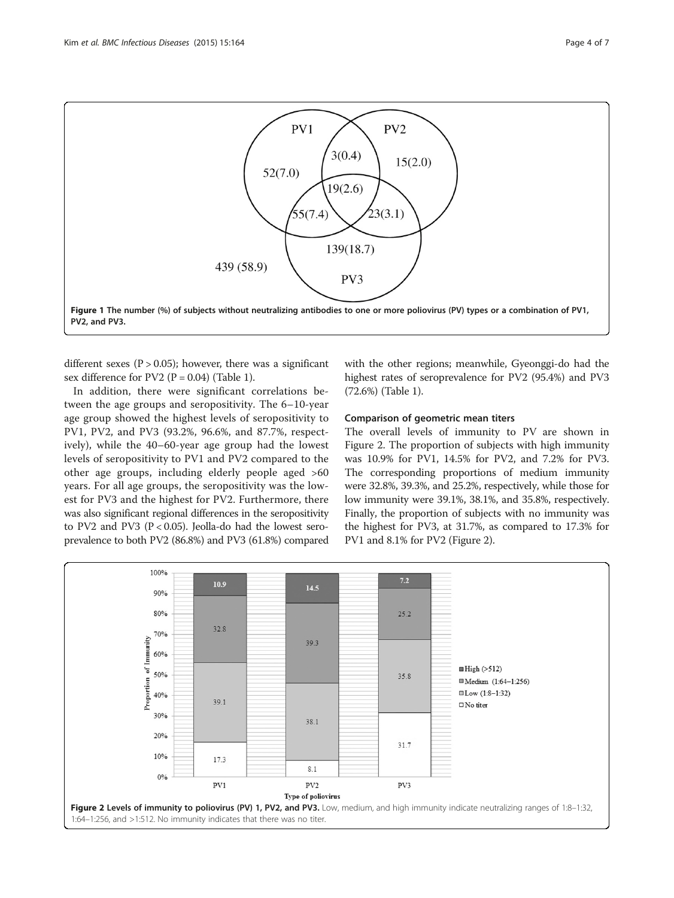<span id="page-3-0"></span>

different sexes ( $P > 0.05$ ); however, there was a significant sex difference for PV2 ( $P = 0.04$ ) (Table [1](#page-2-0)).

In addition, there were significant correlations between the age groups and seropositivity. The 6–10-year age group showed the highest levels of seropositivity to PV1, PV2, and PV3 (93.2%, 96.6%, and 87.7%, respectively), while the 40–60-year age group had the lowest levels of seropositivity to PV1 and PV2 compared to the other age groups, including elderly people aged >60 years. For all age groups, the seropositivity was the lowest for PV3 and the highest for PV2. Furthermore, there was also significant regional differences in the seropositivity to PV2 and PV3 ( $P < 0.05$ ). Jeolla-do had the lowest seroprevalence to both PV2 (86.8%) and PV3 (61.8%) compared with the other regions; meanwhile, Gyeonggi-do had the highest rates of seroprevalence for PV2 (95.4%) and PV3 (72.6%) (Table [1](#page-2-0)).

#### Comparison of geometric mean titers

The overall levels of immunity to PV are shown in Figure 2. The proportion of subjects with high immunity was 10.9% for PV1, 14.5% for PV2, and 7.2% for PV3. The corresponding proportions of medium immunity were 32.8%, 39.3%, and 25.2%, respectively, while those for low immunity were 39.1%, 38.1%, and 35.8%, respectively. Finally, the proportion of subjects with no immunity was the highest for PV3, at 31.7%, as compared to 17.3% for PV1 and 8.1% for PV2 (Figure 2).

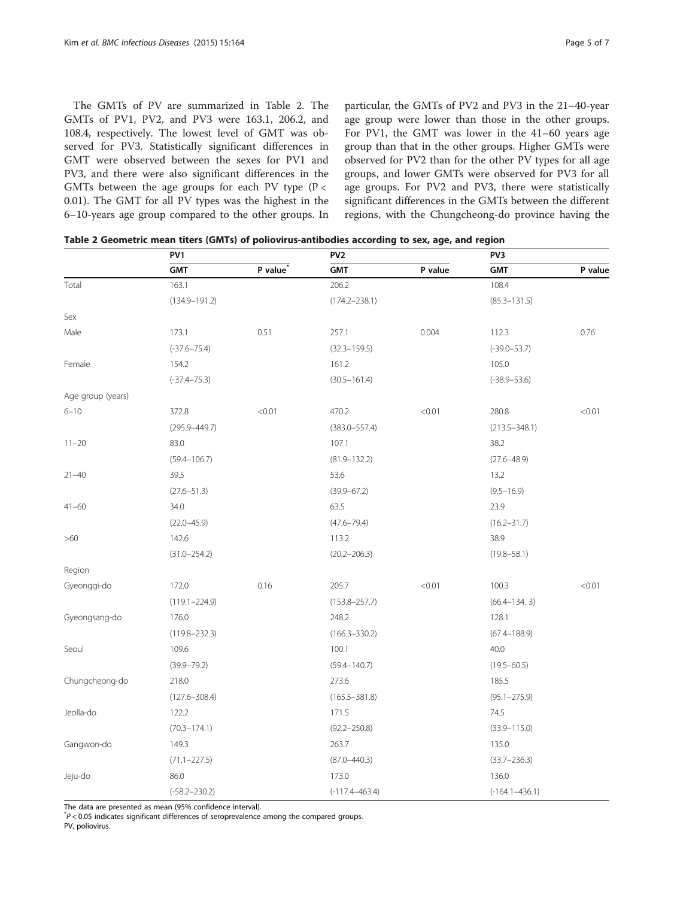<span id="page-4-0"></span>The GMTs of PV are summarized in Table 2. The GMTs of PV1, PV2, and PV3 were 163.1, 206.2, and 108.4, respectively. The lowest level of GMT was observed for PV3. Statistically significant differences in GMT were observed between the sexes for PV1 and PV3, and there were also significant differences in the GMTs between the age groups for each PV type ( $P <$ 0.01). The GMT for all PV types was the highest in the 6–10-years age group compared to the other groups. In

particular, the GMTs of PV2 and PV3 in the 21–40-year age group were lower than those in the other groups. For PV1, the GMT was lower in the 41–60 years age group than that in the other groups. Higher GMTs were observed for PV2 than for the other PV types for all age groups, and lower GMTs were observed for PV3 for all age groups. For PV2 and PV3, there were statistically significant differences in the GMTs between the different regions, with the Chungcheong-do province having the

|                   | PV1               |                      | PV <sub>2</sub>    |         | PV3                |         |
|-------------------|-------------------|----------------------|--------------------|---------|--------------------|---------|
|                   | <b>GMT</b>        | P value <sup>®</sup> | <b>GMT</b>         | P value | <b>GMT</b>         | P value |
| Total             | 163.1             |                      | 206.2              |         | 108.4              |         |
|                   | $(134.9 - 191.2)$ |                      | $(174.2 - 238.1)$  |         | $(85.3 - 131.5)$   |         |
| Sex               |                   |                      |                    |         |                    |         |
| Male              | 173.1             | 0.51                 | 257.1              | 0.004   | 112.3              | 0.76    |
|                   | $(-37.6 - 75.4)$  |                      | $(32.3 - 159.5)$   |         | $(-39.0 - 53.7)$   |         |
| Female            | 154.2             |                      | 161.2              |         | 105.0              |         |
|                   | $(-37.4 - 75.3)$  |                      | $(30.5 - 161.4)$   |         | $(-38.9 - 53.6)$   |         |
| Age group (years) |                   |                      |                    |         |                    |         |
| $6 - 10$          | 372.8             | < 0.01               | 470.2              | < 0.01  | 280.8              | < 0.01  |
|                   | $(295.9 - 449.7)$ |                      | $(383.0 - 557.4)$  |         | $(213.5 - 348.1)$  |         |
| $11 - 20$         | 83.0              |                      | 107.1              |         | 38.2               |         |
|                   | $(59.4 - 106.7)$  |                      | $(81.9 - 132.2)$   |         | $(27.6 - 48.9)$    |         |
| $21 - 40$         | 39.5              |                      | 53.6               |         | 13.2               |         |
|                   | $(27.6 - 51.3)$   |                      | $(39.9 - 67.2)$    |         | $(9.5 - 16.9)$     |         |
| $41 - 60$         | 34.0              |                      | 63.5               |         | 23.9               |         |
|                   | $(22.0 - 45.9)$   |                      | $(47.6 - 79.4)$    |         | $(16.2 - 31.7)$    |         |
| >60               | 142.6             |                      | 113.2              |         | 38.9               |         |
|                   | $(31.0 - 254.2)$  |                      | $(20.2 - 206.3)$   |         | $(19.8 - 58.1)$    |         |
| Region            |                   |                      |                    |         |                    |         |
| Gyeonggi-do       | 172.0             | 0.16                 | 205.7              | < 0.01  | 100.3              | < 0.01  |
|                   | $(119.1 - 224.9)$ |                      | $(153.8 - 257.7)$  |         | $(66.4 - 134.3)$   |         |
| Gyeongsang-do     | 176.0             |                      | 248.2              |         | 128.1              |         |
|                   | $(119.8 - 232.3)$ |                      | $(166.3 - 330.2)$  |         | $(67.4 - 188.9)$   |         |
| Seoul             | 109.6             |                      | 100.1              |         | 40.0               |         |
|                   | $(39.9 - 79.2)$   |                      | $(59.4 - 140.7)$   |         | $(19.5 - 60.5)$    |         |
| Chungcheong-do    | 218.0             |                      | 273.6              |         | 185.5              |         |
|                   | $(127.6 - 308.4)$ |                      | $(165.5 - 381.8)$  |         | $(95.1 - 275.9)$   |         |
| Jeolla-do         | 122.2             |                      | 171.5              |         | 74.5               |         |
|                   | $(70.3 - 174.1)$  |                      | $(92.2 - 250.8)$   |         | $(33.9 - 115.0)$   |         |
| Gangwon-do        | 149.3             |                      | 263.7              |         | 135.0              |         |
|                   | $(71.1 - 227.5)$  |                      | $(87.0 - 440.3)$   |         | $(33.7 - 236.3)$   |         |
| Jeju-do           | 86.0              |                      | 173.0              |         | 136.0              |         |
|                   | $(-58.2 - 230.2)$ |                      | $(-117.4 - 463.4)$ |         | $(-164.1 - 436.1)$ |         |

Table 2 Geometric mean titers (GMTs) of poliovirus-antibodies according to sex, age, and region

The data are presented as mean (95% confidence interval).

 $p^*$ P < 0.05 indicates significant differences of seroprevalence among the compared groups.

PV, poliovirus.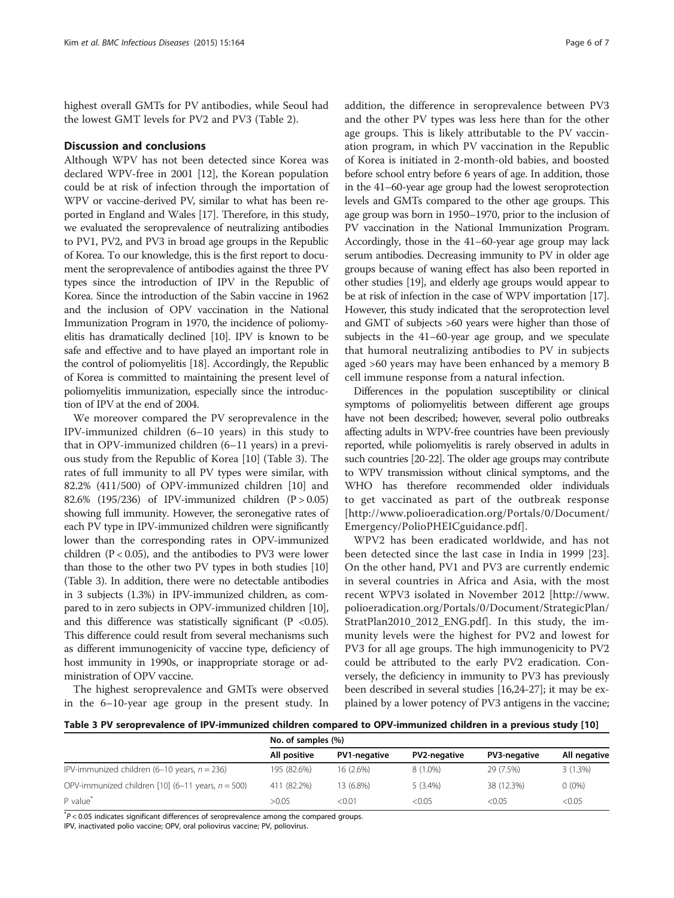highest overall GMTs for PV antibodies, while Seoul had the lowest GMT levels for PV2 and PV3 (Table [2\)](#page-4-0).

### Discussion and conclusions

Although WPV has not been detected since Korea was declared WPV-free in 2001 [[12](#page-6-0)], the Korean population could be at risk of infection through the importation of WPV or vaccine-derived PV, similar to what has been reported in England and Wales [[17](#page-6-0)]. Therefore, in this study, we evaluated the seroprevalence of neutralizing antibodies to PV1, PV2, and PV3 in broad age groups in the Republic of Korea. To our knowledge, this is the first report to document the seroprevalence of antibodies against the three PV types since the introduction of IPV in the Republic of Korea. Since the introduction of the Sabin vaccine in 1962 and the inclusion of OPV vaccination in the National Immunization Program in 1970, the incidence of poliomyelitis has dramatically declined [\[10\]](#page-6-0). IPV is known to be safe and effective and to have played an important role in the control of poliomyelitis [\[18\]](#page-6-0). Accordingly, the Republic of Korea is committed to maintaining the present level of poliomyelitis immunization, especially since the introduction of IPV at the end of 2004.

We moreover compared the PV seroprevalence in the IPV-immunized children (6–10 years) in this study to that in OPV-immunized children (6–11 years) in a previous study from the Republic of Korea [[10\]](#page-6-0) (Table 3). The rates of full immunity to all PV types were similar, with 82.2% (411/500) of OPV-immunized children [[10\]](#page-6-0) and 82.6% (195/236) of IPV-immunized children (P > 0.05) showing full immunity. However, the seronegative rates of each PV type in IPV-immunized children were significantly lower than the corresponding rates in OPV-immunized children (P < 0.05), and the antibodies to PV3 were lower than those to the other two PV types in both studies [\[10](#page-6-0)] (Table 3). In addition, there were no detectable antibodies in 3 subjects (1.3%) in IPV-immunized children, as compared to in zero subjects in OPV-immunized children [\[10](#page-6-0)], and this difference was statistically significant ( $P < 0.05$ ). This difference could result from several mechanisms such as different immunogenicity of vaccine type, deficiency of host immunity in 1990s, or inappropriate storage or administration of OPV vaccine.

The highest seroprevalence and GMTs were observed in the 6–10-year age group in the present study. In

addition, the difference in seroprevalence between PV3 and the other PV types was less here than for the other age groups. This is likely attributable to the PV vaccination program, in which PV vaccination in the Republic of Korea is initiated in 2-month-old babies, and boosted before school entry before 6 years of age. In addition, those in the 41–60-year age group had the lowest seroprotection levels and GMTs compared to the other age groups. This age group was born in 1950–1970, prior to the inclusion of PV vaccination in the National Immunization Program. Accordingly, those in the 41–60-year age group may lack serum antibodies. Decreasing immunity to PV in older age groups because of waning effect has also been reported in other studies [\[19\]](#page-6-0), and elderly age groups would appear to be at risk of infection in the case of WPV importation [[17](#page-6-0)]. However, this study indicated that the seroprotection level and GMT of subjects >60 years were higher than those of subjects in the 41–60-year age group, and we speculate that humoral neutralizing antibodies to PV in subjects aged >60 years may have been enhanced by a memory B cell immune response from a natural infection.

Differences in the population susceptibility or clinical symptoms of poliomyelitis between different age groups have not been described; however, several polio outbreaks affecting adults in WPV-free countries have been previously reported, while poliomyelitis is rarely observed in adults in such countries [\[20](#page-6-0)-[22](#page-6-0)]. The older age groups may contribute to WPV transmission without clinical symptoms, and the WHO has therefore recommended older individuals to get vaccinated as part of the outbreak response [[http://www.polioeradication.org/Portals/0/Document/](http://www.polioeradication.org/Portals/0/Document/Emergency/PolioPHEICguidance.pdf) [Emergency/PolioPHEICguidance.pdf\]](http://www.polioeradication.org/Portals/0/Document/Emergency/PolioPHEICguidance.pdf).

WPV2 has been eradicated worldwide, and has not been detected since the last case in India in 1999 [\[23](#page-6-0)]. On the other hand, PV1 and PV3 are currently endemic in several countries in Africa and Asia, with the most recent WPV3 isolated in November 2012 [[http://www.](http://www.polioeradication.org/Portals/0/Document/StrategicPlan/StratPlan2010_2012_ENG.pdf) [polioeradication.org/Portals/0/Document/StrategicPlan/](http://www.polioeradication.org/Portals/0/Document/StrategicPlan/StratPlan2010_2012_ENG.pdf) [StratPlan2010\\_2012\\_ENG.pdf\]](http://www.polioeradication.org/Portals/0/Document/StrategicPlan/StratPlan2010_2012_ENG.pdf). In this study, the immunity levels were the highest for PV2 and lowest for PV3 for all age groups. The high immunogenicity to PV2 could be attributed to the early PV2 eradication. Conversely, the deficiency in immunity to PV3 has previously been described in several studies [[16,24-27](#page-6-0)]; it may be explained by a lower potency of PV3 antigens in the vaccine;

Table 3 PV seroprevalence of IPV-immunized children compared to OPV-immunized children in a previous study [\[10](#page-6-0)]

|                                                             | No. of samples (%) |              |                     |              |              |  |  |
|-------------------------------------------------------------|--------------------|--------------|---------------------|--------------|--------------|--|--|
|                                                             | All positive       | PV1-negative | <b>PV2-negative</b> | PV3-negative | All negative |  |  |
| IPV-immunized children $(6-10 \text{ years}, n = 236)$      | 195 (82.6%)        | 16 (2.6%)    | $8(1.0\%)$          | 29 (7.5%)    | $3(1.3\%)$   |  |  |
| OPV-immunized children [10] $(6-11 \text{ years}, n = 500)$ | 411 (82.2%)        | 13 (6.8%)    | $5(3.4\%)$          | 38 (12.3%)   | $0(0\%)$     |  |  |
| P value <sup>*</sup>                                        | >0.05              | < 0.01       | < 0.05              | < 0.05       | < 0.05       |  |  |

 $p^*$ P < 0.05 indicates significant differences of seroprevalence among the compared groups.

IPV, inactivated polio vaccine; OPV, oral poliovirus vaccine; PV, poliovirus.